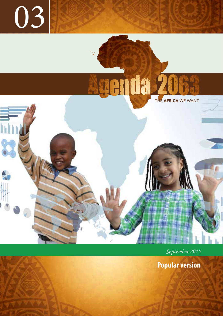

genda 2

THE AFRICA WE WANT

 *September 2015*

**Popular version**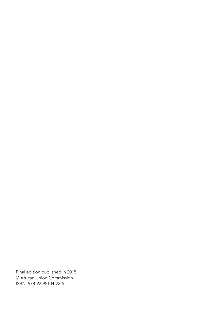Final edition published in 2015 © African Union Commission ISBN: 978-92-95104-23-5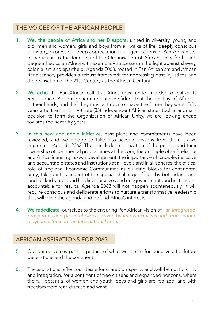## THE VOICES OF THE AFRICAN PEOPLE

- 1. We, the people of Africa and her Diaspora, united in diversity, young and old, men and women, girls and boys from all walks of life, deeply conscious of history, express our deep appreciation to all generations of Pan-Africanists. In particular, to the founders of the Organisation of African Unity for having bequeathed us an Africa with exemplary successes in the fight against slavery, colonialism and apartheid. Agenda 2063, rooted in Pan Africanism and African Renaissance, provides a robust framework for addressing past injustices and the realisation of the 21st Century as the African Century.
- 2. We echo the Pan-African call that Africa must unite in order to realize its Renaissance. Present generations are confident that the destiny of Africa is in their hands, and that they must act now to shape the future they want. Fifty years after the first thirty-three (33) independent African states took a landmark decision to form the Organization of African Unity, we are looking ahead towards the next fifty years.
- 3. In this new and noble initiative, past plans and commitments have been reviewed, and we pledge to take into account lessons from them as we implement Agenda 2063. These include: mobilization of the people and their ownership of continental programmes at the core; the principle of self-reliance and Africa financing its own development; the importance of capable, inclusive and accountable states and institutions at all levels and in all spheres; the critical role of Regional Economic Communities as building blocks for continental unity; taking into account of the special challenges faced by both island and land-locked states; and holding ourselves and our governments and institutions accountable for results. Agenda 2063 will not happen spontaneously, it will require conscious and deliberate efforts to nurture a transformative leadership that will drive the agenda and defend Africa's interests.
- 4. We rededicate ourselves to the enduring Pan African vision of *"an integrated, prosperous and peaceful Africa, driven by its own citizens and representing a dynamic force in the international arena."*

## AFRICAN ASPIRATIONS FOR 2063

- 5. Our united voices paint a picture of what we desire for ourselves, for future generations and the continent.
- 6. The aspirations reflect our desire for shared prosperity and well-being, for unity and integration, for a continent of free citizens and expanded horizons, where the full potential of women and youth, boys and girls are realized, and with freedom from fear, disease and want.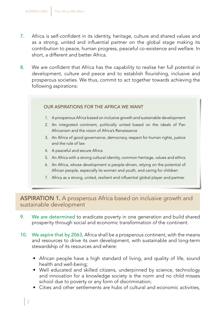- 7. Africa is self-confident in its identity, heritage, culture and shared values and as a strong, united and influential partner on the global stage making its contribution to peace, human progress, peaceful co-existence and welfare. In short, a different and better Africa.
- 8. We are confident that Africa has the capability to realise her full potential in development, culture and peace and to establish flourishing, inclusive and prosperous societies. We thus, commit to act together towards achieving the following aspirations:

#### OUR ASPIRATIONS FOR THE AFRICA WE WANT

- 1. A prosperous Africa based on inclusive growth and sustainable development
- 2. An integrated continent, politically united based on the ideals of Pan Africanism and the vision of Africa's Renaissance
- 3. An Africa of good governance, democracy, respect for human rights, justice and the rule of law
- 4. A peaceful and secure Africa
- 5. An Africa with a strong cultural identity, common heritage, values and ethics
- 6. An Africa, whose development is people-driven, relying on the potential of African people, especially its women and youth, and caring for children
- 7. Africa as a strong, united, resilient and influential global player and partner

ASPIRATION 1. A prosperous Africa based on inclusive growth and sustainable development

- 9. We are determined to eradicate poverty in one generation and build shared prosperity through social and economic transformation of the continent.
- 10. We aspire that by 2063, Africa shall be a prosperous continent, with the means and resources to drive its own development, with sustainable and long-term stewardship of its resources and where:
	- African people have a high standard of living, and quality of life, sound health and well-being;
	- Well educated and skilled citizens, underpinned by science, technology and innovation for a knowledge society is the norm and no child misses school due to poverty or any form of discrimination;
	- Cities and other settlements are hubs of cultural and economic activities,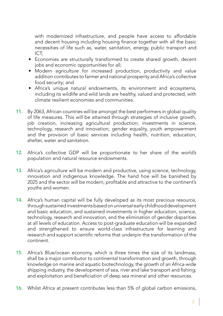with modernized infrastructure, and people have access to affordable and decent housing including housing finance together with all the basic necessities of life such as, water, sanitation, energy, public transport and ICT;

- Economies are structurally transformed to create shared growth, decent jobs and economic opportunities for all;
- Modern agriculture for increased production, productivity and value addition contributes to farmer and national prosperity and Africa's collective food security; and
- Africa's unique natural endowments, its environment and ecosystems, including its wildlife and wild lands are healthy, valued and protected, with climate resilient economies and communities.
- 11. By 2063, African countries will be amongst the best performers in global quality of life measures. This will be attained through strategies of inclusive growth, job creation, increasing agricultural production; investments in science, technology, research and innovation; gender equality, youth empowerment and the provision of basic services including health, nutrition, education, shelter, water and sanitation.
- 12. Africa's collective GDP will be proportionate to her share of the world's population and natural resource endowments.
- 13. Africa's agriculture will be modern and productive, using science, technology, innovation and indigenous knowledge. The hand hoe will be banished by 2025 and the sector will be modern, profitable and attractive to the continent's youths and women.
- 14. Africa's human capital will be fully developed as its most precious resource, through sustained investments based on universal early childhood development and basic education, and sustained investments in higher education, science, technology, research and innovation, and the elimination of gender disparities at all levels of education. Access to post-graduate education will be expanded and strengthened to ensure world-class infrastructure for learning and research and support scientific reforms that underpin the transformation of the continent.
- 15. Africa's Blue/ocean economy, which is three times the size of its landmass, shall be a major contributor to continental transformation and growth, through knowledge on marine and aquatic biotechnology, the growth of an Africa-wide shipping industry, the development of sea, river and lake transport and fishing; and exploitation and beneficiation of deep sea mineral and other resources.
- 16. Whilst Africa at present contributes less than 5% of global carbon emissions,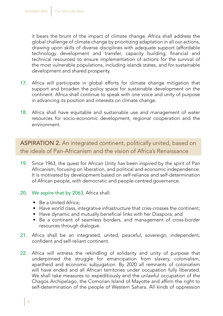it bears the brunt of the impact of climate change. Africa shall address the global challenge of climate change by prioritizing adaptation in all our actions, drawing upon skills of diverse disciplines with adequate support (affordable technology development and transfer, capacity building, financial and technical resources) to ensure implementation of actions for the survival of the most vulnerable populations, including islands states, and for sustainable development and shared prosperity.

- 17. Africa will participate in global efforts for climate change mitigation that support and broaden the policy space for sustainable development on the continent. Africa shall continue to speak with one voice and unity of purpose in advancing its position and interests on climate change.
- 18. Africa shall have equitable and sustainable use and management of water resources for socio-economic development, regional cooperation and the environment.

ASPIRATION 2. An integrated continent, politically united, based on the ideals of Pan-Africanism and the vision of Africa's Renaissance

- 19. Since 1963, the quest for African Unity has been inspired by the spirit of Pan Africanism, focusing on liberation, and political and economic independence. It is motivated by development based on self-reliance and self-determination of African people, with democratic and people-centred governance.
- 20. We aspire that by 2063, Africa shall:
	- Be a United Africa;
	- Have world class, integrative infrastructure that criss-crosses the continent;
	- Have dynamic and mutually beneficial links with her Diaspora; and
	- Be a continent of seamless borders, and management of cross-border resources through dialogue.
- 21. Africa shall be an integrated, united, peaceful, sovereign, independent, confident and self-reliant continent.
- 22. Africa will witness the rekindling of solidarity and unity of purpose that underpinned the struggle for emancipation from slavery, colonialism, apartheid and economic subjugation. By 2020 all remnants of colonialism will have ended and all African territories under occupation fully liberated. We shall take measures to expeditiously end the unlawful occupation of the Chagos Archipelago, the Comorian Island of Mayotte and affirm the right to self-determination of the people of Western Sahara. All kinds of oppression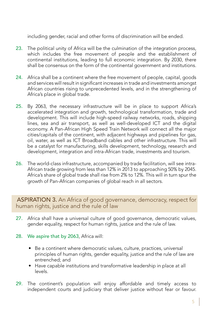including gender, racial and other forms of discrimination will be ended.

- 23. The political unity of Africa will be the culmination of the integration process, which includes the free movement of people and the establishment of continental institutions, leading to full economic integration. By 2030, there shall be consensus on the form of the continental government and institutions.
- 24. Africa shall be a continent where the free movement of people, capital, goods and services will result in significant increases in trade and investments amongst African countries rising to unprecedented levels, and in the strengthening of Africa's place in global trade.
- 25. By 2063, the necessary infrastructure will be in place to support Africa's accelerated integration and growth, technological transformation, trade and development. This will include high-speed railway networks, roads, shipping lines, sea and air transport, as well as well-developed ICT and the digital economy. A Pan-African High Speed Train Network will connect all the major cities/capitals of the continent, with adjacent highways and pipelines for gas, oil, water, as well as ICT Broadband cables and other infrastructure. This will be a catalyst for manufacturing, skills development, technology, research and development, integration and intra-African trade, investments and tourism.
- 26. The world-class infrastructure, accompanied by trade facilitation, will see intra-African trade growing from less than 12% in 2013 to approaching 50% by 2045. Africa's share of global trade shall rise from 2% to 12%. This will in turn spur the growth of Pan-African companies of global reach in all sectors.

ASPIRATION 3. An Africa of good governance, democracy, respect for human rights, justice and the rule of law

- 27. Africa shall have a universal culture of good governance, democratic values, gender equality, respect for human rights, justice and the rule of law.
- 28. We aspire that by 2063, Africa will:
	- Be a continent where democratic values, culture, practices, universal principles of human rights, gender equality, justice and the rule of law are entrenched; and
	- Have capable institutions and transformative leadership in place at all levels.
- 29. The continent's population will enjoy affordable and timely access to independent courts and judiciary that deliver justice without fear or favour.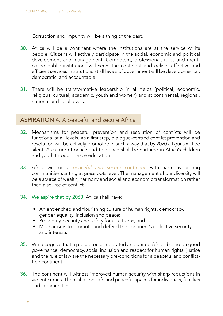Corruption and impunity will be a thing of the past.

- 30. Africa will be a continent where the institutions are at the service of its people. Citizens will actively participate in the social, economic and political development and management. Competent, professional, rules and meritbased public institutions will serve the continent and deliver effective and efficient services. Institutions at all levels of government will be developmental, democratic, and accountable.
- 31. There will be transformative leadership in all fields (political, economic, religious, cultural, academic, youth and women) and at continental, regional, national and local levels.

#### ASPIRATION 4. A peaceful and secure Africa

- 32. Mechanisms for peaceful prevention and resolution of conflicts will be functional at all levels. As a first step, dialogue-centred conflict prevention and resolution will be actively promoted in such a way that by 2020 all guns will be silent. A culture of peace and tolerance shall be nurtured in Africa's children and youth through peace education.
- 33. Africa will be a *peaceful and secure continent,* with harmony among communities starting at grassroots level. The management of our diversity will be a source of wealth, harmony and social and economic transformation rather than a source of conflict.
- 34. We aspire that by 2063, Africa shall have:
	- An entrenched and flourishing culture of human rights, democracy, gender equality, inclusion and peace;
	- Prosperity, security and safety for all citizens; and
	- Mechanisms to promote and defend the continent's collective security and interests.
- 35. We recognize that a prosperous, integrated and united Africa, based on good governance, democracy, social inclusion and respect for human rights, justice and the rule of law are the necessary pre-conditions for a peaceful and conflictfree continent.
- 36. The continent will witness improved human security with sharp reductions in violent crimes. There shall be safe and peaceful spaces for individuals, families and communities.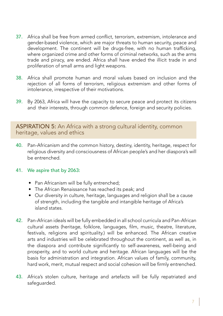- 37. Africa shall be free from armed conflict, terrorism, extremism, intolerance and gender-based violence, which are major threats to human security, peace and development. The continent will be drugs-free, with no human trafficking, where organized crime and other forms of criminal networks, such as the arms trade and piracy, are ended. Africa shall have ended the illicit trade in and proliferation of small arms and light weapons.
- 38. Africa shall promote human and moral values based on inclusion and the rejection of all forms of terrorism, religious extremism and other forms of intolerance, irrespective of their motivations.
- 39. By 2063, Africa will have the capacity to secure peace and protect its citizens and their interests, through common defence, foreign and security policies.

#### ASPIRATION 5: An Africa with a strong cultural identity, common heritage, values and ethics

40. Pan-Africanism and the common history, destiny, identity, heritage, respect for religious diversity and consciousness of African people's and her diaspora's will be entrenched.

#### 41. We aspire that by 2063:

- Pan Africanism will be fully entrenched;
- The African Renaissance has reached its peak; and
- Our diversity in culture, heritage, languages and religion shall be a cause of strength, including the tangible and intangible heritage of Africa's island states.
- 42. Pan-African ideals will be fully embedded in all school curricula and Pan-African cultural assets (heritage, folklore, languages, film, music, theatre, literature, festivals, religions and spirituality.) will be enhanced. The African creative arts and industries will be celebrated throughout the continent, as well as, in the diaspora and contribute significantly to self-awareness, well-being and prosperity, and to world culture and heritage. African languages will be the basis for administration and integration. African values of family, community, hard work, merit, mutual respect and social cohesion will be firmly entrenched.
- 43. Africa's stolen culture, heritage and artefacts will be fully repatriated and safeguarded.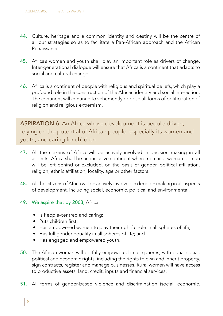- 44. Culture, heritage and a common identity and destiny will be the centre of all our strategies so as to facilitate a Pan-African approach and the African Renaissance.
- 45. Africa's women and youth shall play an important role as drivers of change. Inter-generational dialogue will ensure that Africa is a continent that adapts to social and cultural change.
- 46. Africa is a continent of people with religious and spiritual beliefs, which play a profound role in the construction of the African identity and social interaction. The continent will continue to vehemently oppose all forms of politicization of religion and religious extremism.

ASPIRATION 6: An Africa whose development is people-driven, relying on the potential of African people, especially its women and youth, and caring for children

- 47. All the citizens of Africa will be actively involved in decision making in all aspects. Africa shall be an inclusive continent where no child, woman or man will be left behind or excluded, on the basis of gender, political affiliation, religion, ethnic affiliation, locality, age or other factors.
- 48. All the citizens of Africa will be actively involved in decision making in all aspects of development, including social, economic, political and environmental.
- 49. We aspire that by 2063, Africa:
	- Is People-centred and caring;
	- Puts children first;
	- Has empowered women to play their rightful role in all spheres of life;
	- Has full gender equality in all spheres of life; and
	- Has engaged and empowered youth.
- 50. The African woman will be fully empowered in all spheres, with equal social, political and economic rights, including the rights to own and inherit property, sign contracts, register and manage businesses. Rural women will have access to productive assets: land, credit, inputs and financial services.
- 51. All forms of gender-based violence and discrimination (social, economic,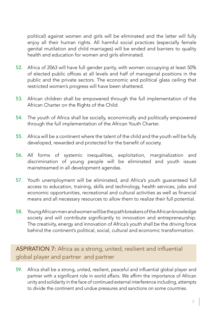political) against women and girls will be eliminated and the latter will fully enjoy all their human rights. All harmful social practices (especially female genital mutilation and child marriages) will be ended and barriers to quality health and education for women and girls eliminated.

- 52. Africa of 2063 will have full gender parity, with women occupying at least 50% of elected public offices at all levels and half of managerial positions in the public and the private sectors. The economic and political glass ceiling that restricted women's progress will have been shattered.
- 53. African children shall be empowered through the full implementation of the African Charter on the Rights of the Child.
- 54. The youth of Africa shall be socially, economically and politically empowered through the full implementation of the African Youth Charter.
- 55. Africa will be a continent where the talent of the child and the youth will be fully developed, rewarded and protected for the benefit of society.
- 56. All forms of systemic inequalities, exploitation, marginalization and discrimination of young people will be eliminated and youth issues mainstreamed in all development agendas.
- 57. Youth unemployment will be eliminated, and Africa's youth guaranteed full access to education, training, skills and technology, health services, jobs and economic opportunities, recreational and cultural activities as well as financial means and all necessary resources to allow them to realize their full potential.
- 58. Young African men and women will be the path breakers of the African knowledge society and will contribute significantly to innovation and entrepreneurship. The creativity, energy and innovation of Africa's youth shall be the driving force behind the continent's political, social, cultural and economic transformation.

ASPIRATION 7: Africa as a strong, united, resilient and influential global player and partner and partner

59. Africa shall be a strong, united, resilient, peaceful and influential global player and partner with a significant role in world affairs. We affirm the importance of African unity and solidarity in the face of continued external interference including, attempts to divide the continent and undue pressures and sanctions on some countries.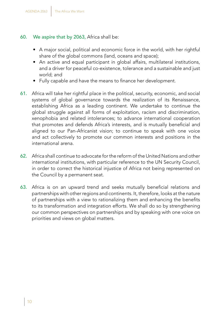#### 60. We aspire that by 2063, Africa shall be:

- A major social, political and economic force in the world, with her rightful share of the global commons (land, oceans and space);
- An active and equal participant in global affairs, multilateral institutions, and a driver for peaceful co-existence, tolerance and a sustainable and just world; and
- Fully capable and have the means to finance her development.
- 61. Africa will take her rightful place in the political, security, economic, and social systems of global governance towards the realization of its Renaissance, establishing Africa as a leading continent. We undertake to continue the global struggle against all forms of exploitation, racism and discrimination, xenophobia and related intolerances; to advance international cooperation that promotes and defends Africa's interests, and is mutually beneficial and aligned to our Pan-Africanist vision; to continue to speak with one voice and act collectively to promote our common interests and positions in the international arena.
- 62. Africa shall continue to advocate for the reform of the United Nations and other international institutions, with particular reference to the UN Security Council, in order to correct the historical injustice of Africa not being represented on the Council by a permanent seat.
- 63. Africa is on an upward trend and seeks mutually beneficial relations and partnerships with other regions and continents. It, therefore, looks at the nature of partnerships with a view to rationalizing them and enhancing the benefits to its transformation and integration efforts. We shall do so by strengthening our common perspectives on partnerships and by speaking with one voice on priorities and views on global matters.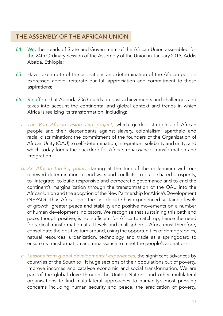## THE ASSEMBLY OF THE AFRICAN UNION

- 64. We, the Heads of State and Government of the African Union assembled for the 24th Ordinary Session of the Assembly of the Union in January 2015, Addis Ababa, Ethiopia;
- 65. Have taken note of the aspirations and determination of the African people expressed above, reiterate our full appreciation and commitment to these aspirations;
- 66. Re-affirm that Agenda 2063 builds on past achievements and challenges and takes into account the continental and global context and trends in which Africa is realizing its transformation, including:
	- *a. The Pan African vision and project,* which guided struggles of African people and their descendants against slavery, colonialism, apartheid and racial discrimination; the commitment of the founders of the Organization of African Unity (OAU) to self-determination, integration, solidarity and unity; and which today forms the backdrop for Africa's renaissance, transformation and integration.
	- *b. An African turning point,* starting at the turn of the millennium with our renewed determination to end wars and conflicts, to build shared prosperity, to integrate, to build responsive and democratic governance and to end the continent's marginalization through the transformation of the OAU into the African Union and the adoption of the New Partnership for Africa's Development (NEPAD). Thus Africa, over the last decade has experienced sustained levels of growth, greater peace and stability and positive movements on a number of human development indicators. We recognise that sustaining this path and pace, though positive, is not sufficient for Africa to catch up, hence the need for radical transformation at all levels and in all spheres. Africa must therefore, consolidate the positive turn around, using the opportunities of demographics, natural resources, urbanization, technology and trade as a springboard to ensure its transformation and renaissance to meet the people's aspirations.
	- *c. Lessons from global developmental experiences,* the significant advances by countries of the South to lift huge sections of their populations out of poverty, improve incomes and catalyse economic and social transformation. We are part of the global drive through the United Nations and other multilateral organisations to find multi-lateral approaches to humanity's most pressing concerns including human security and peace, the eradication of poverty,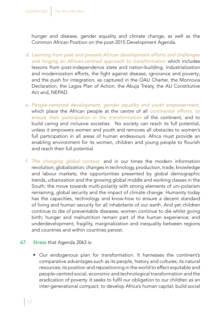hunger and disease, gender equality and climate change, as well as the Common African Position on the post-2015 Development Agenda.

- *d. Learning from past and present African development efforts and challenges and forging an African-centred approach to transformation* which includes lessons from post-independence state and nation-building, industrialization and modernization efforts, the fight against disease, ignorance and poverty; and the push for integration, as captured in the OAU Charter, the Monrovia Declaration, the Lagos Plan of Action, the Abuja Treaty, the AU Constitutive Act and, NEPAD.
- *e. People-centered development, gender equality and youth empowerment,* which place the African people at the centre of all *continental efforts, to ensure their participation in the transformation* of the continent, and to build caring and inclusive societies. No society can reach its full potential, unless it empowers women and youth and removes all obstacles to women's full participation in all areas of human endeavours. Africa must provide an enabling environment for its women, children and young people to flourish and reach their full potential.
- *f. The changing global context,* and in our times the modern information revolution; globalization; changes in technology, production, trade, knowledge and labour markets; the opportunities presented by global demographic trends, urbanization and the growing global middle and working classes in the South; the move towards multi-polarity with strong elements of uni-polarism remaining, global security and the impact of climate change. Humanity today has the capacities, technology and know-how to ensure a decent standard of living and human security for all inhabitants of our earth. And yet children continue to die of preventable diseases; women continue to die whilst giving birth; hunger and malnutrition remain part of the human experience; and underdevelopment, fragility, marginalization and inequality between regions and countries and within countries persist.
- 67. Stress that Agenda 2063 is:
	- Our endogenous plan for transformation. It harnesses the continent's comparative advantages such as its people, history and cultures; its natural resources; its position and repositioning in the world to effect equitable and people-centred social, economic and technological transformation and the eradication of poverty. It seeks to fulfil our obligation to our children as an inter-generational compact, to develop Africa's human capital; build social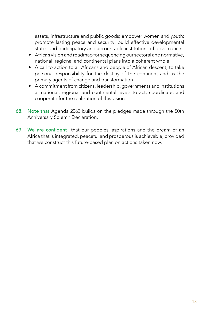assets, infrastructure and public goods; empower women and youth; promote lasting peace and security; build effective developmental states and participatory and accountable institutions of governance.

- Africa's vision and roadmap for sequencing our sectoral and normative, national, regional and continental plans into a coherent whole.
- A call to action to all Africans and people of African descent, to take personal responsibility for the destiny of the continent and as the primary agents of change and transformation.
- A commitment from citizens, leadership, governments and institutions at national, regional and continental levels to act, coordinate, and cooperate for the realization of this vision.
- 68. Note that Agenda 2063 builds on the pledges made through the 50th Anniversary Solemn Declaration.
- 69. We are confident that our peoples' aspirations and the dream of an Africa that is integrated, peaceful and prosperous is achievable, provided that we construct this future-based plan on actions taken now.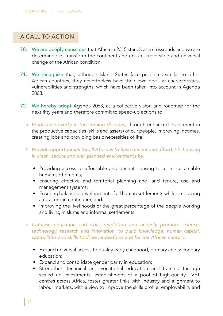## A CALL TO ACTION

- 70. We are deeply conscious that Africa in 2015 stands at a crossroads and we are determined to transform the continent and ensure irreversible and universal change of the African condition.
- 71. We recognize that, although Island States face problems similar to other African countries, they nevertheless have their own peculiar characteristics, vulnerabilities and strengths, which have been taken into account in Agenda 2063.
- 72. We hereby adopt Agenda 2063, as a collective vision and roadmap for the next fifty years and therefore commit to speed-up actions to:
	- *a. Eradicate poverty in the coming decades,* through enhanced investment in the productive capacities (skills and assets) of our people, improving incomes, creating jobs and providing basic necessities of life.
	- *b. Provide opportunities for all Africans to have decent and affordable housing in clean, secure and well planned environments by:*
		- Providing access to affordable and decent housing to all in sustainable human settlements;
		- Ensuring effective and territorial planning and land tenure, use and management systems;
		- Ensuring balanced development of all human settlements while embracing a rural urban continuum; and
		- Improving the livelihoods of the great percentage of the people working and living in slums and informal settlements.
	- *c. Catalyse education and skills revolution and actively promote science, technology, research and innovation, to build knowledge, human capital, capabilities and skills to drive innovations and for the African century:*
		- Expand universal access to quality early childhood, primary and secondary education;
		- Expand and consolidate gender parity in education;
		- Strengthen technical and vocational education and training through scaled up investments, establishment of a pool of high-quality TVET centres across Africa, foster greater links with industry and alignment to labour markets, with a view to improve the skills profile, employability and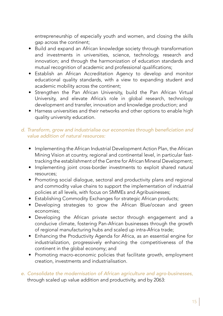entrepreneurship of especially youth and women, and closing the skills gap across the continent;

- Build and expand an African knowledge society through transformation and investments in universities, science, technology, research and innovation; and through the harmonization of education standards and mutual recognition of academic and professional qualifications;
- Establish an African Accreditation Agency to develop and monitor educational quality standards, with a view to expanding student and academic mobility across the continent;
- Strengthen the Pan African University, build the Pan African Virtual University, and elevate Africa's role in global research, technology development and transfer, innovation and knowledge production; and
- Harness universities and their networks and other options to enable high quality university education.

#### *d.* Transform, grow and industrialise our economies through beneficiation and *value addition of natural resources:*

- Implementing the African Industrial Development Action Plan, the African Mining Vision at country, regional and continental level, in particular fasttracking the establishment of the Centre for African Mineral Development;
- Implementing joint cross-border investments to exploit shared natural resources;
- Promoting social dialogue, sectoral and productivity plans and regional and commodity value chains to support the implementation of industrial policies at all levels, with focus on SMMEs and Agribusinesses;
- Establishing Commodity Exchanges for strategic African products;
- Developing strategies to grow the African Blue/ocean and green economies;
- Developing the African private sector through engagement and a conducive climate, fostering Pan-African businesses through the growth of regional manufacturing hubs and scaled up intra-Africa trade;
- Enhancing the Productivity Agenda for Africa, as an essential engine for industrialization, progressively enhancing the competitiveness of the continent in the global economy; and
- Promoting macro-economic policies that facilitate growth, employment creation, investments and industrialisation.
- *e. Consolidate the modernisation of African agriculture and agro-businesses,* through scaled up value addition and productivity, and by 2063: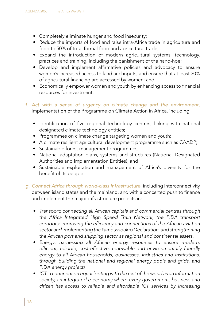- Completely eliminate hunger and food insecurity;
- Reduce the imports of food and raise intra-Africa trade in agriculture and food to 50% of total formal food and agricultural trade;
- Expand the introduction of modern agricultural systems, technology, practices and training, including the banishment of the hand-hoe;
- Develop and implement affirmative policies and advocacy to ensure women's increased access to land and inputs, and ensure that at least 30% of agricultural financing are accessed by women; and
- Economically empower women and youth by enhancing access to financial resources for investment.
- *f. Act with a sense of urgency on climate change and the environment,*  implementation of the Programme on Climate Action in Africa, including:
	- Identification of five regional technology centres, linking with national designated climate technology entities;
	- Programmes on climate change targeting women and youth;
	- A climate resilient agricultural development programme such as CAADP;
	- Sustainable forest management programmes;
	- National adaptation plans, systems and structures (National Designated Authorities and Implementation Entities); and
	- Sustainable exploitation and management of Africa's diversity for the benefit of its people.
- *g. Connect Africa through world-class Infrastructure,* including interconnectivity between island states and the mainland, and with a concerted push to finance and implement the major infrastructure projects in:
	- Transport: connecting all African capitals and commercial centres through the Africa Integrated High Speed Train Network, the PIDA transport corridors; improving the efficiency and connections of the African aviation sector and implementing the Yamoussoukro Declaration, and strengthening the African port and shipping sector as regional and continental assets.
	- Energy: harnessing all African energy resources to ensure modern, efficient, reliable, cost-effective, renewable and environmentally friendly energy to all African households, businesses, industries and institutions, through building the national and regional energy pools and grids, and PIDA energy projects.
	- • ICT: a continent on equal footing with the rest of the world as an information society, an integrated e-economy where every government, business and citizen has access to reliable and affordable ICT services by increasing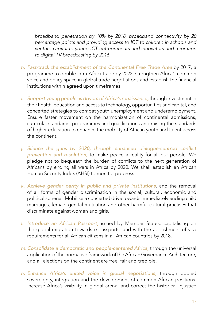broadband penetration by 10% by 2018, broadband connectivity by 20 percentage points and providing access to ICT to children in schools and venture capital to young ICT entrepreneurs and innovators and migration to digital TV broadcasting by 2016.

- *h. Fast-track the establishment of the Continental Free Trade Area* by 2017, a programme to double intra-Africa trade by 2022, strengthen Africa's common voice and policy space in global trade negotiations and establish the financial institutions within agreed upon timeframes.
- *i. Support young people as drivers of Africa's renaissance,* through investment in their health, education and access to technology, opportunities and capital, and concerted strategies to combat youth unemployment and underemployment. Ensure faster movement on the harmonization of continental admissions, curricula, standards, programmes and qualifications and raising the standards of higher education to enhance the mobility of African youth and talent across the continent.
- *j. Silence the gun*s by 2020, through enhanced dialogue-centred conflict *prevention and resolution,* to make peace a reality for all our people. We pledge not to bequeath the burden of conflicts to the next generation of Africans by ending all wars in Africa by 2020. We shall establish an African Human Security Index (AHSI) to monitor progress.
- *k. Achieve gender parity in public and private institutions*, and the removal of all forms of gender discrimination in the social, cultural, economic and political spheres. Mobilise a concerted drive towards immediately ending child marriages, female genital mutilation and other harmful cultural practises that discriminate against women and girls.
- *l. Introduce an African Passport,* issued by Member States, capitalising on the global migration towards e-passports, and with the abolishment of visa requirements for all African citizens in all African countries by 2018.
- *m. Consolidate a democratic and people-centered Africa,* through the universal application of the normative framework of the African Governance Architecture, and all elections on the continent are free, fair and credible.
- *n. Enhance Africa's united voice in global negotiations,* through pooled sovereignty, integration and the development of common African positions. Increase Africa's visibility in global arena, and correct the historical injustice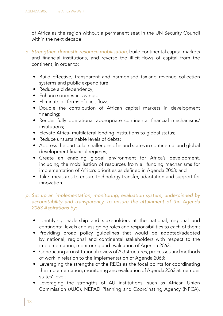of Africa as the region without a permanent seat in the UN Security Council within the next decade.

- *o. Strengthen domestic resource mobilisation,* build continental capital markets and financial institutions, and reverse the illicit flows of capital from the continent, in order to:
	- Build effective, transparent and harmonised tax and revenue collection systems and public expenditure;
	- Reduce aid dependency;
	- Enhance domestic savings;
	- Eliminate all forms of illicit flows;
	- Double the contribution of African capital markets in development financing;
	- Render fully operational appropriate continental financial mechanisms/ institutions;
	- Elevate Africa- multilateral lending institutions to global status;
	- Reduce unsustainable levels of debts;
	- Address the particular challenges of island states in continental and global development financial regimes;
	- Create an enabling global environment for Africa's development, including the mobilisation of resources from all funding mechanisms for implementation of Africa's priorities as defined in Agenda 2063; and
	- Take measures to ensure technology transfer, adaptation and support for innovation.

#### *p. Set up an implementation, monitoring, evaluation system, underpinned by accountability and transparency, to ensure the attainment of the Agenda 2063 Aspirations by:*

- Identifying leadership and stakeholders at the national, regional and continental levels and assigning roles and responsibilities to each of them;
- Providing broad policy guidelines that would be adopted/adapted by national, regional and continental stakeholders with respect to the implementation, monitoring and evaluation of Agenda 2063;
- Conducting an institutional review of AU structures, processes and methods of work in relation to the implementation of Agenda 2063;
- Leveraging the strengths of the RECs as the focal points for coordinating the implementation, monitoring and evaluation of Agenda 2063 at member states' level;
- Leveraging the strengths of AU institutions, such as African Union Commission (AUC), NEPAD Planning and Coordinating Agency (NPCA),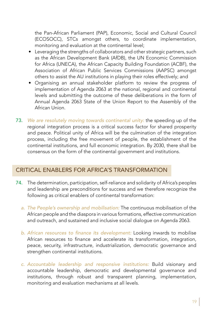the Pan-African Parliament (PAP), Economic, Social and Cultural Council (ECOSOCC), STCs amongst others, to coordinate implementation, monitoring and evaluation at the continental level;

- Leveraging the strengths of collaborators and other strategic partners, such as the African Development Bank (AfDB), the UN Economic Commission for Africa (UNECA), the African Capacity Building Foundation (ACBF), the Association of African Public Services Commissions (AAPSC) amongst others to assist the AU institutions in playing their roles effectively; and
- Organising an annual stakeholder platform to review the progress of implementation of Agenda 2063 at the national, regional and continental levels and submitting the outcome of these deliberations in the form of Annual Agenda 2063 State of the Union Report to the Assembly of the African Union.
- 73. *We are resolutely moving towards continental unity:* the speeding up of the regional integration process is a critical success factor for shared prosperity and peace. Political unity of Africa will be the culmination of the integration process, including the free movement of people, the establishment of the continental institutions, and full economic integration. By 2030, there shall be consensus on the form of the continental government and institutions.

#### CRITICAL ENABLERS FOR AFRICA'S TRANSFORMATION

- 74. The determination, participation, self-reliance and solidarity of Africa's peoples and leadership are preconditions for success and we therefore recognize the following as critical enablers of continental transformation:
	- *a. The People's ownership and mobilisation:* The continuous mobilisation of the African people and the diaspora in various formations, effective communication and outreach, and sustained and inclusive social dialogue on Agenda 2063.
	- *b.* African resources to finance its development: Looking inwards to mobilise African resources to finance and accelerate its transformation, integration, peace, security, infrastructure, industrialization, democratic governance and strengthen continental institutions.
	- *c. Accountable leadership and responsive institutions:* Build visionary and accountable leadership, democratic and developmental governance and institutions, through robust and transparent planning, implementation, monitoring and evaluation mechanisms at all levels.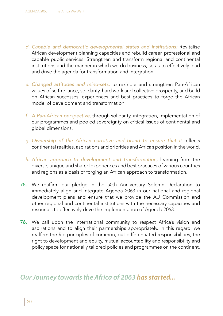- *d. Capable and democratic developmental states and institutions:* Revitalise African development planning capacities and rebuild career, professional and capable public services. Strengthen and transform regional and continental institutions and the manner in which we do business, so as to effectively lead and drive the agenda for transformation and integration.
- *e. Changed attitudes and mind-sets,* to rekindle and strengthen Pan-African values of self-reliance, solidarity, hard work and collective prosperity, and build on African successes, experiences and best practices to forge the African model of development and transformation.
- *f. A Pan-African perspective,* through solidarity, integration, implementation of our programmes and pooled sovereignty on critical issues of continental and global dimensions.
- *g. Ownership of the African narrative and brand to ensure that it* reflects continental realities, aspirations and priorities and Africa's position in the world.
- *h. African approach to development and transformation,* learning from the diverse, unique and shared experiences and best practices of various countries and regions as a basis of forging an African approach to transformation.
- 75. We reaffirm our pledge in the 50th Anniversary Solemn Declaration to immediately align and integrate Agenda 2063 in our national and regional development plans and ensure that we provide the AU Commission and other regional and continental institutions with the necessary capacities and resources to effectively drive the implementation of Agenda 2063.
- 76. We call upon the international community to respect Africa's vision and aspirations and to align their partnerships appropriately. In this regard, we reaffirm the Rio principles of common, but differentiated responsibilities, the right to development and equity, mutual accountability and responsibility and policy space for nationally tailored policies and programmes on the continent.

*Our Journey towards the Africa of 2063 has started...*